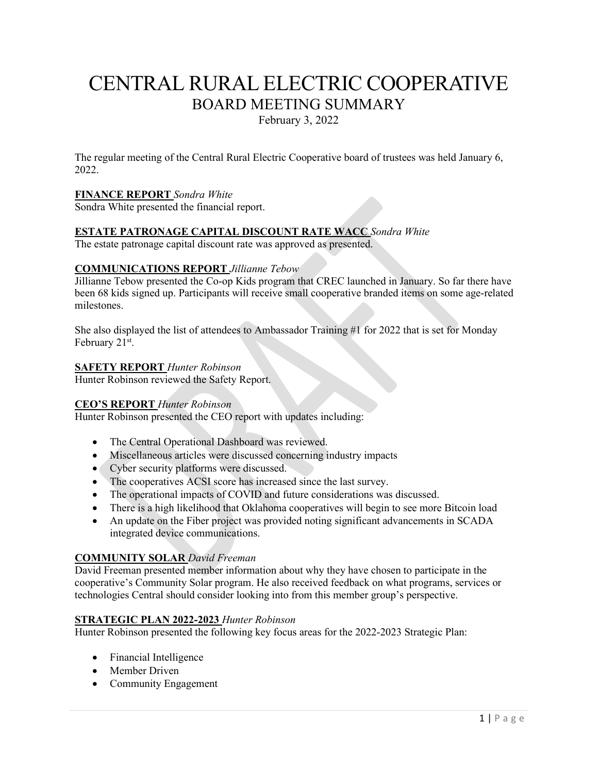# CENTRAL RURAL ELECTRIC COOPERATIVE BOARD MEETING SUMMARY

February 3, 2022

The regular meeting of the Central Rural Electric Cooperative board of trustees was held January 6, 2022.

## **FINANCE REPORT** *Sondra White*

Sondra White presented the financial report.

#### **ESTATE PATRONAGE CAPITAL DISCOUNT RATE WACC** *Sondra White*

The estate patronage capital discount rate was approved as presented.

#### **COMMUNICATIONS REPORT** *Jillianne Tebow*

Jillianne Tebow presented the Co-op Kids program that CREC launched in January. So far there have been 68 kids signed up. Participants will receive small cooperative branded items on some age-related milestones.

She also displayed the list of attendees to Ambassador Training #1 for 2022 that is set for Monday February 21<sup>st</sup>.

#### **SAFETY REPORT** *Hunter Robinson*

Hunter Robinson reviewed the Safety Report.

#### **CEO'S REPORT** *Hunter Robinson*

Hunter Robinson presented the CEO report with updates including:

- The Central Operational Dashboard was reviewed.
- Miscellaneous articles were discussed concerning industry impacts
- Cyber security platforms were discussed.
- The cooperatives ACSI score has increased since the last survey.
- The operational impacts of COVID and future considerations was discussed.
- There is a high likelihood that Oklahoma cooperatives will begin to see more Bitcoin load
- An update on the Fiber project was provided noting significant advancements in SCADA integrated device communications.

#### **COMMUNITY SOLAR** *David Freeman*

David Freeman presented member information about why they have chosen to participate in the cooperative's Community Solar program. He also received feedback on what programs, services or technologies Central should consider looking into from this member group's perspective.

## **STRATEGIC PLAN 2022-2023** *Hunter Robinson*

Hunter Robinson presented the following key focus areas for the 2022-2023 Strategic Plan:

- Financial Intelligence
- Member Driven
- Community Engagement